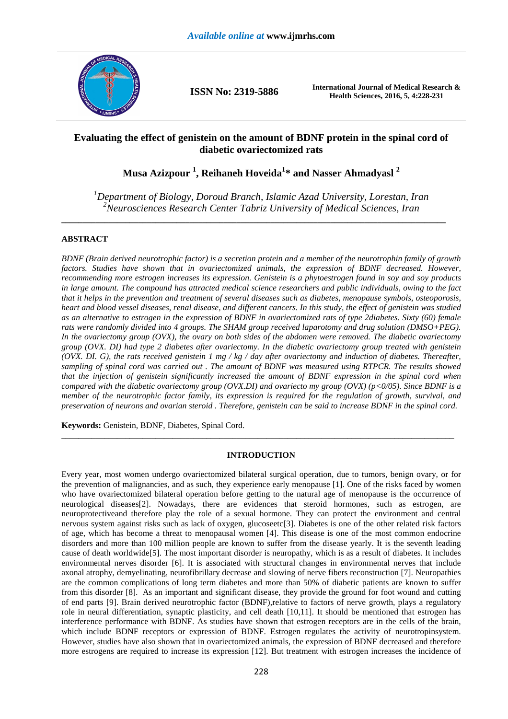

**ISSN No: 2319-5886 International Journal of Medical Research & Health Sciences, 2016, 5, 4:228-231** 

# **Evaluating the effect of genistein on the amount of BDNF protein in the spinal cord of diabetic ovariectomized rats**

**Musa Azizpour <sup>1</sup> , Reihaneh Hoveida<sup>1</sup> \* and Nasser Ahmadyasl <sup>2</sup>**

*<sup>1</sup>Department of Biology, Doroud Branch, Islamic Azad University, Lorestan, Iran <sup>2</sup>Neurosciences Research Center Tabriz University of Medical Sciences, Iran* 

**\_\_\_\_\_\_\_\_\_\_\_\_\_\_\_\_\_\_\_\_\_\_\_\_\_\_\_\_\_\_\_\_\_\_\_\_\_\_\_\_\_\_\_\_\_\_\_\_\_\_\_\_\_\_\_\_\_\_\_\_\_\_\_\_\_\_\_\_\_\_\_\_\_\_\_\_\_\_\_\_\_\_\_\_\_\_\_\_\_\_** 

## **ABSTRACT**

*BDNF (Brain derived neurotrophic factor) is a secretion protein and a member of the neurotrophin family of growth factors. Studies have shown that in ovariectomized animals, the expression of BDNF decreased. However, recommending more estrogen increases its expression. Genistein is a phytoestrogen found in soy and soy products in large amount. The compound has attracted medical science researchers and public individuals, owing to the fact that it helps in the prevention and treatment of several diseases such as diabetes, menopause symbols, osteoporosis, heart and blood vessel diseases, renal disease, and different cancers. In this study, the effect of genistein was studied as an alternative to estrogen in the expression of BDNF in ovariectomized rats of type 2diabetes. Sixty (60) female rats were randomly divided into 4 groups. The SHAM group received laparotomy and drug solution (DMSO+PEG). In the ovariectomy group (OVX), the ovary on both sides of the abdomen were removed. The diabetic ovariectomy group (OVX. DI) had type 2 diabetes after ovariectomy. In the diabetic ovariectomy group treated with genistein (OVX. DI. G), the rats received genistein 1 mg / kg / day after ovariectomy and induction of diabetes. Thereafter, sampling of spinal cord was carried out . The amount of BDNF was measured using RTPCR. The results showed that the injection of genistein significantly increased the amount of BDNF expression in the spinal cord when compared with the diabetic ovariectomy group (OVX.DI) and ovariecto my group (OVX) (p<0/05). Since BDNF is a member of the neurotrophic factor family, its expression is required for the regulation of growth, survival, and preservation of neurons and ovarian steroid . Therefore, genistein can be said to increase BDNF in the spinal cord.* 

**Keywords:** Genistein, BDNF, Diabetes, Spinal Cord.

#### **INTRODUCTION**

\_\_\_\_\_\_\_\_\_\_\_\_\_\_\_\_\_\_\_\_\_\_\_\_\_\_\_\_\_\_\_\_\_\_\_\_\_\_\_\_\_\_\_\_\_\_\_\_\_\_\_\_\_\_\_\_\_\_\_\_\_\_\_\_\_\_\_\_\_\_\_\_\_\_\_\_\_\_\_\_\_\_\_\_\_\_\_\_\_\_\_\_

Every year, most women undergo ovariectomized bilateral surgical operation, due to tumors, benign ovary, or for the prevention of malignancies, and as such, they experience early menopause [1]. One of the risks faced by women who have ovariectomized bilateral operation before getting to the natural age of menopause is the occurrence of neurological diseases[2]. Nowadays, there are evidences that steroid hormones, such as estrogen, are neuroprotectiveand therefore play the role of a sexual hormone. They can protect the environment and central nervous system against risks such as lack of oxygen, glucoseetc[3]. Diabetes is one of the other related risk factors of age, which has become a threat to menopausal women [4]. This disease is one of the most common endocrine disorders and more than 100 million people are known to suffer from the disease yearly. It is the seventh leading cause of death worldwide[5]. The most important disorder is neuropathy, which is as a result of diabetes. It includes environmental nerves disorder [6]. It is associated with structural changes in environmental nerves that include axonal atrophy, demyelinating, neurofibrillary decrease and slowing of nerve fibers reconstruction [7]. Neuropathies are the common complications of long term diabetes and more than 50% of diabetic patients are known to suffer from this disorder [8]. As an important and significant disease, they provide the ground for foot wound and cutting of end parts [9]. Brain derived neurotrophic factor (BDNF),relative to factors of nerve growth, plays a regulatory role in neural differentiation, synaptic plasticity, and cell death [10,11]. It should be mentioned that estrogen has interference performance with BDNF. As studies have shown that estrogen receptors are in the cells of the brain, which include BDNF receptors or expression of BDNF. Estrogen regulates the activity of neurotropinsystem. However, studies have also shown that in ovariectomized animals, the expression of BDNF decreased and therefore more estrogens are required to increase its expression [12]. But treatment with estrogen increases the incidence of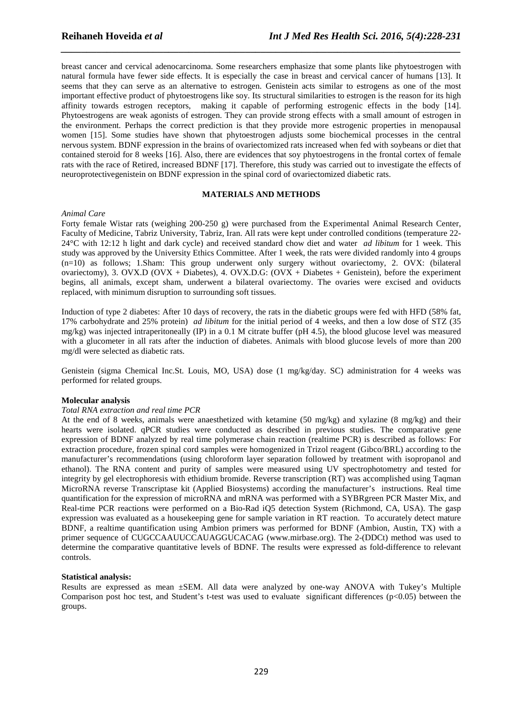breast cancer and cervical adenocarcinoma. Some researchers emphasize that some plants like phytoestrogen with natural formula have fewer side effects. It is especially the case in breast and cervical cancer of humans [13]. It seems that they can serve as an alternative to estrogen. Genistein acts similar to estrogens as one of the most important effective product of phytoestrogens like soy. Its structural similarities to estrogen is the reason for its high affinity towards estrogen receptors, making it capable of performing estrogenic effects in the body [14]. Phytoestrogens are weak agonists of estrogen. They can provide strong effects with a small amount of estrogen in the environment. Perhaps the correct prediction is that they provide more estrogenic properties in menopausal women [15]. Some studies have shown that phytoestrogen adjusts some biochemical processes in the central nervous system. BDNF expression in the brains of ovariectomized rats increased when fed with soybeans or diet that contained steroid for 8 weeks [16]. Also, there are evidences that soy phytoestrogens in the frontal cortex of female rats with the race of Retired, increased BDNF [17]. Therefore, this study was carried out to investigate the effects of neuroprotectivegenistein on BDNF expression in the spinal cord of ovariectomized diabetic rats.

*\_\_\_\_\_\_\_\_\_\_\_\_\_\_\_\_\_\_\_\_\_\_\_\_\_\_\_\_\_\_\_\_\_\_\_\_\_\_\_\_\_\_\_\_\_\_\_\_\_\_\_\_\_\_\_\_\_\_\_\_\_\_\_\_\_\_\_\_\_\_\_\_\_\_\_\_\_\_*

### **MATERIALS AND METHODS**

#### *Animal Care*

Forty female Wistar rats (weighing 200-250 g) were purchased from the Experimental Animal Research Center, Faculty of Medicine, Tabriz University, Tabriz, Iran. All rats were kept under controlled conditions (temperature 22- 24°C with 12:12 h light and dark cycle) and received standard chow diet and water *ad libitum* for 1 week. This study was approved by the University Ethics Committee. After 1 week, the rats were divided randomly into 4 groups (n=10) as follows; 1.Sham: This group underwent only surgery without ovariectomy, 2. OVX: (bilateral ovariectomy), 3. OVX.D (OVX + Diabetes), 4. OVX.D.G: (OVX + Diabetes + Genistein), before the experiment begins, all animals, except sham, underwent a bilateral ovariectomy. The ovaries were excised and oviducts replaced, with minimum disruption to surrounding soft tissues.

Induction of type 2 diabetes: After 10 days of recovery, the rats in the diabetic groups were fed with HFD (58% fat, 17% carbohydrate and 25% protein) *ad libitum* for the initial period of 4 weeks, and then a low dose of STZ (35 mg/kg) was injected intraperitoneally (IP) in a 0.1 M citrate buffer (pH 4.5), the blood glucose level was measured with a glucometer in all rats after the induction of diabetes. Animals with blood glucose levels of more than 200 mg/dl were selected as diabetic rats.

Genistein (sigma Chemical Inc.St. Louis, MO, USA) dose (1 mg/kg/day. SC) administration for 4 weeks was performed for related groups.

#### **Molecular analysis**

#### *Total RNA extraction and real time PCR*

At the end of 8 weeks, animals were anaesthetized with ketamine (50 mg/kg) and xylazine (8 mg/kg) and their hearts were isolated. qPCR studies were conducted as described in previous studies. The comparative gene expression of BDNF analyzed by real time polymerase chain reaction (realtime PCR) is described as follows: For extraction procedure, frozen spinal cord samples were homogenized in Trizol reagent (Gibco/BRL) according to the manufacturer's recommendations (using chloroform layer separation followed by treatment with isopropanol and ethanol). The RNA content and purity of samples were measured using UV spectrophotometry and tested for integrity by gel electrophoresis with ethidium bromide. Reverse transcription (RT) was accomplished using Taqman MicroRNA reverse Transcriptase kit (Applied Biosystems) according the manufacturer's instructions. Real time quantification for the expression of microRNA and mRNA was performed with a SYBRgreen PCR Master Mix, and Real-time PCR reactions were performed on a Bio-Rad iQ5 detection System (Richmond, CA, USA). The gasp expression was evaluated as a housekeeping gene for sample variation in RT reaction. To accurately detect mature BDNF, a realtime quantification using Ambion primers was performed for BDNF (Ambion, Austin, TX) with a primer sequence of CUGCCAAUUCCAUAGGUCACAG (www.mirbase.org). The 2-(DDCt) method was used to determine the comparative quantitative levels of BDNF. The results were expressed as fold-difference to relevant controls.

#### **Statistical analysis:**

Results are expressed as mean ±SEM. All data were analyzed by one-way ANOVA with Tukey's Multiple Comparison post hoc test, and Student's t-test was used to evaluate significant differences ( $p<0.05$ ) between the groups.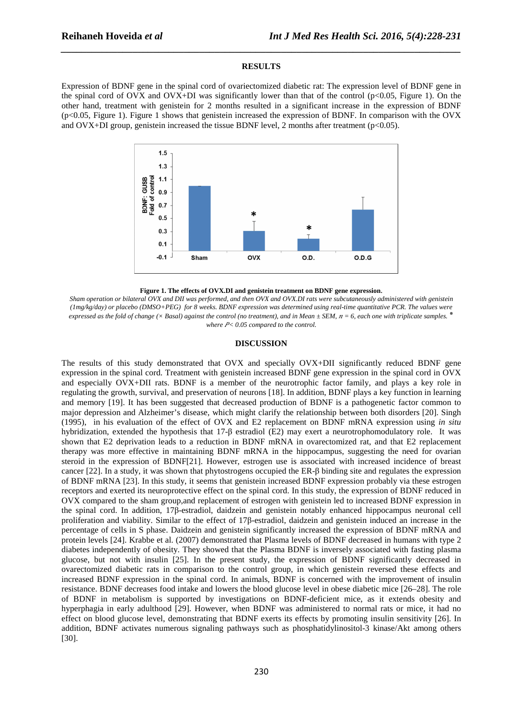#### **RESULTS**

*\_\_\_\_\_\_\_\_\_\_\_\_\_\_\_\_\_\_\_\_\_\_\_\_\_\_\_\_\_\_\_\_\_\_\_\_\_\_\_\_\_\_\_\_\_\_\_\_\_\_\_\_\_\_\_\_\_\_\_\_\_\_\_\_\_\_\_\_\_\_\_\_\_\_\_\_\_\_*

Expression of BDNF gene in the spinal cord of ovariectomized diabetic rat: The expression level of BDNF gene in the spinal cord of OVX and OVX+DI was significantly lower than that of the control ( $p<0.05$ , Figure 1). On the other hand, treatment with genistein for 2 months resulted in a significant increase in the expression of BDNF (p<0.05, Figure 1). Figure 1 shows that genistein increased the expression of BDNF. In comparison with the OVX and OVX+DI group, genistein increased the tissue BDNF level, 2 months after treatment (p<0.05).



**Figure 1. The effects of OVX.DI and genistein treatment on BDNF gene expression**.

*Sham operation or bilateral OVX and DII was performed, and then OVX and OVX.DI rats were subcutaneously administered with genistein (1mg/kg/day) or placebo (DMSO+PEG) for 8 weeks. BDNF expression was determined using real-time quantitative PCR. The values were expressed as the fold of change (* $\times$  *Basal) against the control (no treatment), and in Mean*  $\pm$  *SEM,*  $n = 6$ *, each one with triplicate samples.*  $*$ where  $P$ < 0.05 compared to the control.

### **DISCUSSION**

The results of this study demonstrated that OVX and specially OVX+DII significantly reduced BDNF gene expression in the spinal cord. Treatment with genistein increased BDNF gene expression in the spinal cord in OVX and especially OVX+DII rats. BDNF is a member of the neurotrophic factor family, and plays a key role in regulating the growth, survival, and preservation of neurons [18]. In addition, BDNF plays a key function in learning and memory [19]. It has been suggested that decreased production of BDNF is a pathogenetic factor common to major depression and Alzheimer's disease, which might clarify the relationship between both disorders [20]. Singh (1995), in his evaluation of the effect of OVX and E2 replacement on BDNF mRNA expression using *in situ* hybridization, extended the hypothesis that 17-β estradiol (E2) may exert a neurotrophomodulatory role. It was shown that E2 deprivation leads to a reduction in BDNF mRNA in ovarectomized rat, and that E2 replacement therapy was more effective in maintaining BDNF mRNA in the hippocampus, suggesting the need for ovarian steroid in the expression of BDNF[21]. However, estrogen use is associated with increased incidence of breast cancer [22]. In a study, it was shown that phytostrogens occupied the ER-β binding site and regulates the expression of BDNF mRNA [23]. In this study, it seems that genistein increased BDNF expression probably via these estrogen receptors and exerted its neuroprotective effect on the spinal cord. In this study, the expression of BDNF reduced in OVX compared to the sham group,and replacement of estrogen with genistein led to increased BDNF expression in the spinal cord. In addition, 17β-estradiol, daidzein and genistein notably enhanced hippocampus neuronal cell proliferation and viability. Similar to the effect of 17β-estradiol, daidzein and genistein induced an increase in the percentage of cells in S phase. Daidzein and genistein significantly increased the expression of BDNF mRNA and protein levels [24]. Krabbe et al. (2007) demonstrated that Plasma levels of BDNF decreased in humans with type 2 diabetes independently of obesity. They showed that the Plasma BDNF is inversely associated with fasting plasma glucose, but not with insulin [25]. In the present study, the expression of BDNF significantly decreased in ovarectomized diabetic rats in comparison to the control group, in which genistein reversed these effects and increased BDNF expression in the spinal cord. In animals, BDNF is concerned with the improvement of insulin resistance. BDNF decreases food intake and lowers the blood glucose level in obese diabetic mice [26–28]. The role of BDNF in metabolism is supported by investigations on BDNF-deficient mice, as it extends obesity and hyperphagia in early adulthood [29]. However, when BDNF was administered to normal rats or mice, it had no effect on blood glucose level, demonstrating that BDNF exerts its effects by promoting insulin sensitivity [26]. In addition, BDNF activates numerous signaling pathways such as phosphatidylinositol-3 kinase/Akt among others [30].